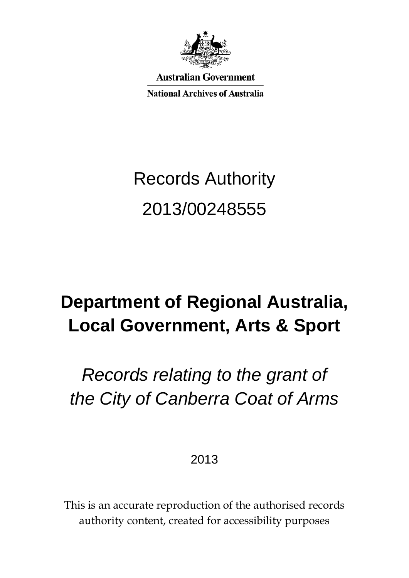

**Australian Government** 

**National Archives of Australia** 

# Records Authority 2013/00248555

## **Department of Regional Australia, Local Government, Arts & Sport**

## *Records relating to the grant of the City of Canberra Coat of Arms*

2013

This is an accurate reproduction of the authorised records authority content, created for accessibility purposes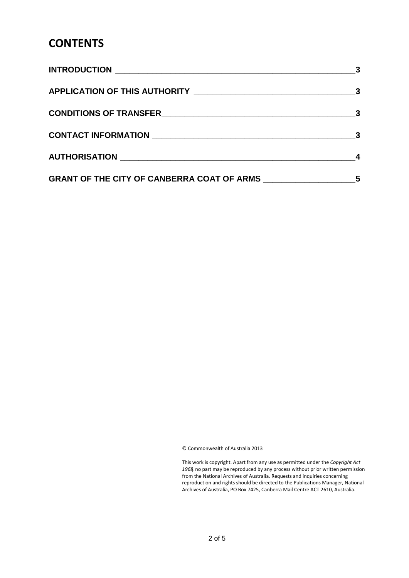### **CONTENTS**

| $\overline{\mathbf{3}}$ |
|-------------------------|
|                         |
|                         |
| 5                       |

© Commonwealth of Australia 2013

This work is copyright. Apart from any use as permitted under the *Copyright Act 1968,* no part may be reproduced by any process without prior written permission from the National Archives of Australia. Requests and inquiries concerning reproduction and rights should be directed to the Publications Manager, National Archives of Australia, PO Box 7425, Canberra Mail Centre ACT 2610, Australia.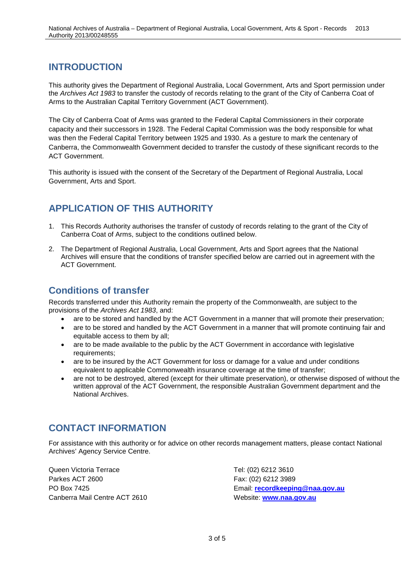#### <span id="page-2-0"></span>**INTRODUCTION**

This authority gives the Department of Regional Australia, Local Government, Arts and Sport permission under the *Archives Act 1983* to transfer the custody of records relating to the grant of the City of Canberra Coat of Arms to the Australian Capital Territory Government (ACT Government).

The City of Canberra Coat of Arms was granted to the Federal Capital Commissioners in their corporate capacity and their successors in 1928. The Federal Capital Commission was the body responsible for what was then the Federal Capital Territory between 1925 and 1930. As a gesture to mark the centenary of Canberra, the Commonwealth Government decided to transfer the custody of these significant records to the ACT Government.

This authority is issued with the consent of the Secretary of the Department of Regional Australia, Local Government, Arts and Sport.

#### <span id="page-2-1"></span>**APPLICATION OF THIS AUTHORITY**

- 1. This Records Authority authorises the transfer of custody of records relating to the grant of the City of Canberra Coat of Arms, subject to the conditions outlined below.
- 2. The Department of Regional Australia, Local Government, Arts and Sport agrees that the National Archives will ensure that the conditions of transfer specified below are carried out in agreement with the ACT Government.

#### <span id="page-2-2"></span>**Conditions of transfer**

Records transferred under this Authority remain the property of the Commonwealth, are subject to the provisions of the *Archives Act 1983*, and:

- are to be stored and handled by the ACT Government in a manner that will promote their preservation;
- are to be stored and handled by the ACT Government in a manner that will promote continuing fair and equitable access to them by all:
- are to be made available to the public by the ACT Government in accordance with legislative requirements;
- are to be insured by the ACT Government for loss or damage for a value and under conditions equivalent to applicable Commonwealth insurance coverage at the time of transfer;
- are not to be destroyed, altered (except for their ultimate preservation), or otherwise disposed of without the written approval of the ACT Government, the responsible Australian Government department and the National Archives.

#### <span id="page-2-3"></span>**CONTACT INFORMATION**

For assistance with this authority or for advice on other records management matters, please contact National Archives' Agency Service Centre.

Queen Victoria Terrace Tel: (02) 6212 3610 Parkes ACT 2600 Farkes ACT 2600 Canberra Mail Centre ACT 2610 Website: [www.naa.gov.au](http://www.naa.gov.au/)

PO Box 7425 Email: **[recordkeeping@naa.gov.au](mailto:recordkeeping@naa.gov.au)**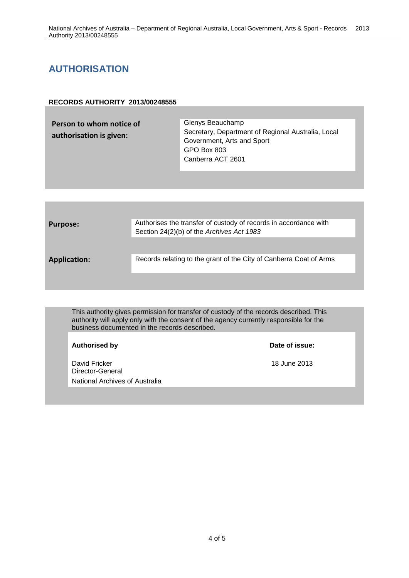### <span id="page-3-0"></span>**AUTHORISATION**

#### **RECORDS AUTHORITY 2013/00248555**

| Person to whom notice of<br>authorisation is given: | Glenys Beauchamp<br>Secretary, Department of Regional Australia, Local<br>Government, Arts and Sport<br>GPO Box 803<br>Canberra ACT 2601 |
|-----------------------------------------------------|------------------------------------------------------------------------------------------------------------------------------------------|
|                                                     |                                                                                                                                          |

| <b>Purpose:</b>     | Authorises the transfer of custody of records in accordance with<br>Section 24(2)(b) of the Archives Act 1983 |  |  |
|---------------------|---------------------------------------------------------------------------------------------------------------|--|--|
| <b>Application:</b> | Records relating to the grant of the City of Canberra Coat of Arms                                            |  |  |
|                     |                                                                                                               |  |  |

This authority gives permission for transfer of custody of the records described. This authority will apply only with the consent of the agency currently responsible for the business documented in the records described.

| <b>Authorised by</b>                                                | Date of issue: |
|---------------------------------------------------------------------|----------------|
| David Fricker<br>Director-General<br>National Archives of Australia | 18 June 2013   |
|                                                                     |                |